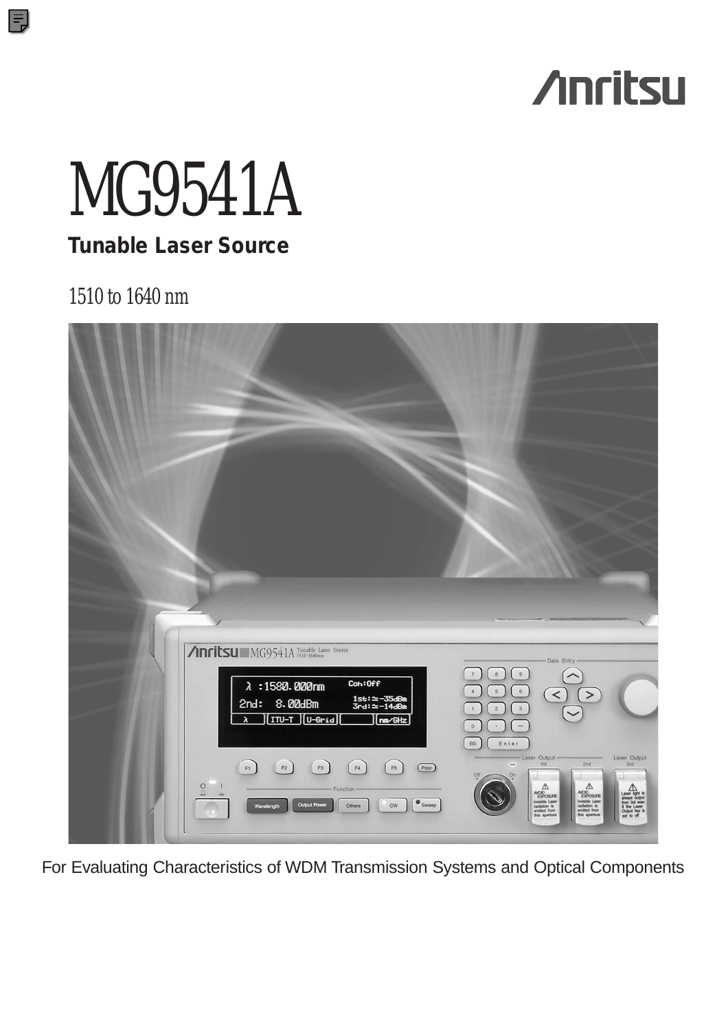# **Anritsu**

# MG9541A

**Tunable Laser Source**

## 1510 to 1640 nm

Ξ

| <b>Anritsu</b> MG9541A Tunable Laser Source<br>Coh:Off<br>$\lambda$ : 1580.000mm<br>2nd: 8.00dBm<br>$\begin{bmatrix} \text{ITU-T} \\ \end{bmatrix}$ $\begin{bmatrix} \text{U-Grid} \\ \end{bmatrix}$<br>λ | $^{\rm 8}$<br>$\,9$<br>$\boldsymbol{7}$<br>$6\overline{6}$<br>$\sqrt{5}$<br>$\overline{\bf 4}$<br>1st:≃-35dBm<br>3rd:≃-14dBm<br>$\sqrt{2}$<br>$_{\rm 3}$<br>$\,$ 1 $\,$<br>nm/GHz<br>$\mathsf{O}$<br>$\overline{\phantom{a}}$<br>$\lambda$ | Data Entry<br>$\prec$                                                                                                                                                                                                                                                                                                                        |
|-----------------------------------------------------------------------------------------------------------------------------------------------------------------------------------------------------------|--------------------------------------------------------------------------------------------------------------------------------------------------------------------------------------------------------------------------------------------|----------------------------------------------------------------------------------------------------------------------------------------------------------------------------------------------------------------------------------------------------------------------------------------------------------------------------------------------|
| $\mathsf{F2}$<br>$\mathsf{F3}$<br>$_{\rm F4}$<br>F1<br>$\overline{\mathbf{C}}$<br>Function<br><b>Output Power</b><br>Wavelength<br>Others                                                                 | $_{\rm BS}$<br>Enter<br>$\qquad \qquad \blacksquare$<br>$_{\rm F5}$<br>(Prior)<br>Off<br>On<br>$\bullet$ Sweep<br>cw                                                                                                                       | - Laser Output -<br>Laser Output<br>2nd<br>3rd<br>Δ<br>Δ<br>AOD <sub>OSUFE</sub><br>AOD<br>EXPOSURE<br>Laser light<br>always output<br>from 3rd ever<br>if the Laser<br>Output key is<br>set to off<br>Invisible Laser<br>radiation is<br>arrilled from<br>this aperture<br>Invisible Laser<br>radiation is<br>anvited from<br>this aperture |

For Evaluating Characteristics of WDM Transmission Systems and Optical Components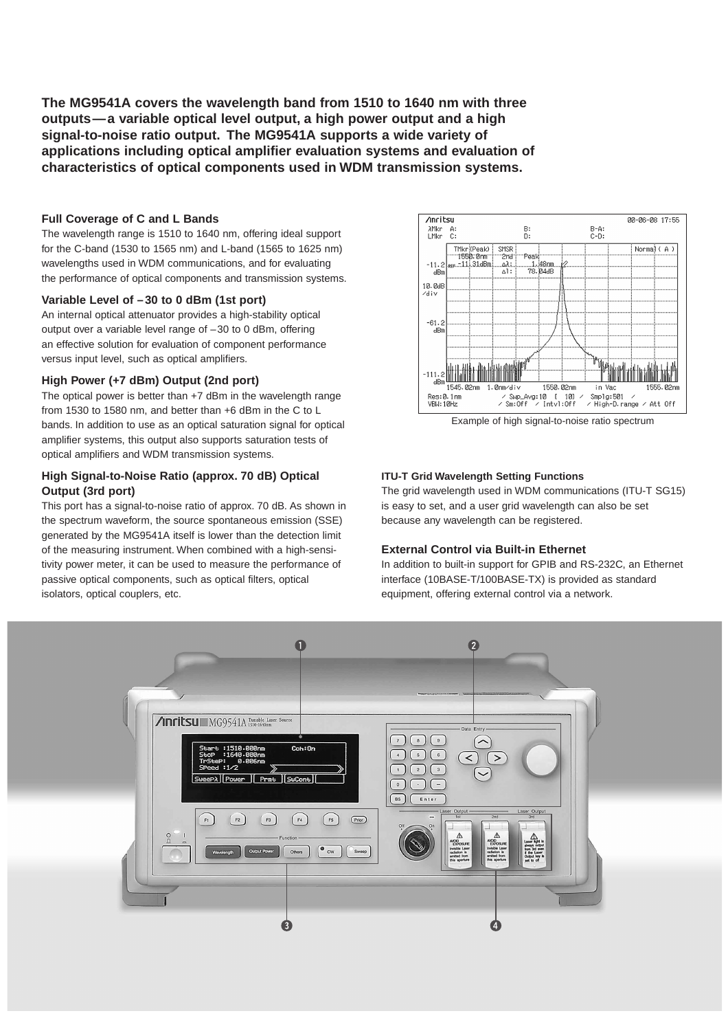**The MG9541A covers the wavelength band from 1510 to 1640 nm with three outputs—a variable optical level output, a high power output and a high signal-to-noise ratio output. The MG9541A supports a wide variety of applications including optical amplifier evaluation systems and evaluation of characteristics of optical components used in WDM transmission systems.**

#### **Full Coverage of C and L Bands**

The wavelength range is 1510 to 1640 nm, offering ideal support for the C-band (1530 to 1565 nm) and L-band (1565 to 1625 nm) wavelengths used in WDM communications, and for evaluating the performance of optical components and transmission systems.

#### **Variable Level of –30 to 0 dBm (1st port)**

An internal optical attenuator provides a high-stability optical output over a variable level range of –30 to 0 dBm, offering an effective solution for evaluation of component performance versus input level, such as optical amplifiers.

#### **High Power (+7 dBm) Output (2nd port)**

The optical power is better than +7 dBm in the wavelength range from 1530 to 1580 nm, and better than +6 dBm in the C to L bands. In addition to use as an optical saturation signal for optical amplifier systems, this output also supports saturation tests of optical amplifiers and WDM transmission systems.

#### **High Signal-to-Noise Ratio (approx. 70 dB) Optical Output (3rd port)**

This port has a signal-to-noise ratio of approx. 70 dB. As shown in the spectrum waveform, the source spontaneous emission (SSE) generated by the MG9541A itself is lower than the detection limit of the measuring instrument. When combined with a high-sensitivity power meter, it can be used to measure the performance of passive optical components, such as optical filters, optical isolators, optical couplers, etc.



Example of high signal-to-noise ratio spectrum

#### **ITU-T Grid Wavelength Setting Functions**

The grid wavelength used in WDM communications (ITU-T SG15) is easy to set, and a user grid wavelength can also be set because any wavelength can be registered.

#### **External Control via Built-in Ethernet**

In addition to built-in support for GPIB and RS-232C, an Ethernet interface (10BASE-T/100BASE-TX) is provided as standard equipment, offering external control via a network.

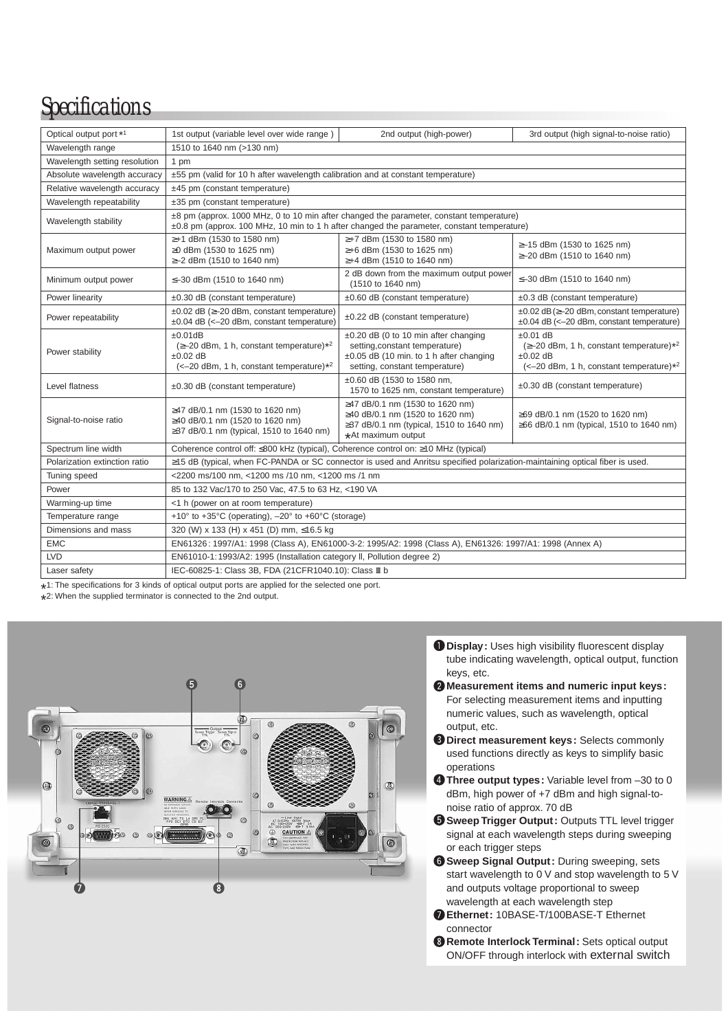## *Specifications*

| Optical output port *1        | 1st output (variable level over wide range)                                                                                                                                           | 2nd output (high-power)                                                                                                                             | 3rd output (high signal-to-noise ratio)                                                                                 |  |  |
|-------------------------------|---------------------------------------------------------------------------------------------------------------------------------------------------------------------------------------|-----------------------------------------------------------------------------------------------------------------------------------------------------|-------------------------------------------------------------------------------------------------------------------------|--|--|
| Wavelength range              | 1510 to 1640 nm (>130 nm)                                                                                                                                                             |                                                                                                                                                     |                                                                                                                         |  |  |
| Wavelength setting resolution | 1 pm                                                                                                                                                                                  |                                                                                                                                                     |                                                                                                                         |  |  |
| Absolute wavelength accuracy  | ±55 pm (valid for 10 h after wavelength calibration and at constant temperature)                                                                                                      |                                                                                                                                                     |                                                                                                                         |  |  |
| Relative wavelength accuracy  | ±45 pm (constant temperature)                                                                                                                                                         |                                                                                                                                                     |                                                                                                                         |  |  |
| Wavelength repeatability      | ±35 pm (constant temperature)                                                                                                                                                         |                                                                                                                                                     |                                                                                                                         |  |  |
| Wavelength stability          | ±8 pm (approx. 1000 MHz, 0 to 10 min after changed the parameter, constant temperature)<br>±0.8 pm (approx. 100 MHz, 10 min to 1 h after changed the parameter, constant temperature) |                                                                                                                                                     |                                                                                                                         |  |  |
| Maximum output power          | ≥+1 dBm (1530 to 1580 nm)<br>≥0 dBm (1530 to 1625 nm)<br>≥-2 dBm (1510 to 1640 nm)                                                                                                    | ≥+7 dBm (1530 to 1580 nm)<br>≥+6 dBm (1530 to 1625 nm)<br>≥+4 dBm (1510 to 1640 nm)                                                                 | ≥-15 dBm (1530 to 1625 nm)<br>≥-20 dBm (1510 to 1640 nm)                                                                |  |  |
| Minimum output power          | ≤-30 dBm (1510 to 1640 nm)                                                                                                                                                            | 2 dB down from the maximum output power<br>(1510 to 1640 nm)                                                                                        | ≤-30 dBm (1510 to 1640 nm)                                                                                              |  |  |
| Power linearity               | $\pm 0.30$ dB (constant temperature)                                                                                                                                                  | ±0.60 dB (constant temperature)                                                                                                                     | ±0.3 dB (constant temperature)                                                                                          |  |  |
| Power repeatability           | $\pm 0.02$ dB ( $\geq -20$ dBm, constant temperature)<br>$\pm 0.04$ dB (<-20 dBm, constant temperature)                                                                               | ±0.22 dB (constant temperature)                                                                                                                     | $\pm 0.02$ dB ( $\geq -20$ dBm, constant temperature)<br>$\pm 0.04$ dB (<-20 dBm, constant temperature)                 |  |  |
| Power stability               | ±0.01dB<br>$(\geq -20$ dBm, 1 h, constant temperature)* <sup>2</sup><br>$\pm 0.02$ dB<br>(<-20 dBm, 1 h, constant temperature)*2                                                      | ±0.20 dB (0 to 10 min after changing<br>setting, constant temperature)<br>±0.05 dB (10 min. to 1 h after changing<br>setting, constant temperature) | $±0.01$ dB<br>$(\geq -20$ dBm, 1 h, constant temperature)*2<br>$\pm 0.02$ dB<br>(<-20 dBm, 1 h, constant temperature)*2 |  |  |
| Level flatness                | $\pm 0.30$ dB (constant temperature)                                                                                                                                                  | ±0.60 dB (1530 to 1580 nm,<br>1570 to 1625 nm, constant temperature)                                                                                | ±0.30 dB (constant temperature)                                                                                         |  |  |
| Signal-to-noise ratio         | ≥47 dB/0.1 nm (1530 to 1620 nm)<br>≥40 dB/0.1 nm (1520 to 1620 nm)<br>≥37 dB/0.1 nm (typical, 1510 to 1640 nm)                                                                        | ≥47 dB/0.1 nm (1530 to 1620 nm)<br>≥40 dB/0.1 nm (1520 to 1620 nm)<br>≥37 dB/0.1 nm (typical, 1510 to 1640 nm)<br>*At maximum output                | ≥69 dB/0.1 nm (1520 to 1620 nm)<br>≥66 dB/0.1 nm (typical, 1510 to 1640 nm)                                             |  |  |
| Spectrum line width           | Coherence control off: ≤800 kHz (typical), Coherence control on: ≥10 MHz (typical)                                                                                                    |                                                                                                                                                     |                                                                                                                         |  |  |
| Polarization extinction ratio | ≥15 dB (typical, when FC-PANDA or SC connector is used and Anritsu specified polarization-maintaining optical fiber is used.                                                          |                                                                                                                                                     |                                                                                                                         |  |  |
| Tuning speed                  | <2200 ms/100 nm. <1200 ms /10 nm. <1200 ms /1 nm                                                                                                                                      |                                                                                                                                                     |                                                                                                                         |  |  |
| Power                         | 85 to 132 Vac/170 to 250 Vac, 47.5 to 63 Hz, <190 VA                                                                                                                                  |                                                                                                                                                     |                                                                                                                         |  |  |
| Warming-up time               | <1 h (power on at room temperature)                                                                                                                                                   |                                                                                                                                                     |                                                                                                                         |  |  |
| Temperature range             | +10 $\degree$ to +35 $\degree$ C (operating), $-20\degree$ to +60 $\degree$ C (storage)                                                                                               |                                                                                                                                                     |                                                                                                                         |  |  |
| Dimensions and mass           | 320 (W) x 133 (H) x 451 (D) mm, ≤16.5 kg                                                                                                                                              |                                                                                                                                                     |                                                                                                                         |  |  |
| <b>EMC</b>                    | EN61326: 1997/A1: 1998 (Class A), EN61000-3-2: 1995/A2: 1998 (Class A), EN61326: 1997/A1: 1998 (Annex A)                                                                              |                                                                                                                                                     |                                                                                                                         |  |  |
| <b>LVD</b>                    | EN61010-1:1993/A2: 1995 (Installation category II, Pollution degree 2)                                                                                                                |                                                                                                                                                     |                                                                                                                         |  |  |
| Laser safety                  | IEC-60825-1: Class 3B, FDA (21CFR1040.10): Class II b                                                                                                                                 |                                                                                                                                                     |                                                                                                                         |  |  |

\*1: The specifications for 3 kinds of optical output ports are applied for the selected one port.<br>\*2: When the supplied terminator is connected to the 2nd output.

\* 2: When the supplied terminator is connected to the 2nd output.



- **Display:** Uses high visibility fluorescent display tube indicating wavelength, optical output, function keys, etc.
- **Measurement items and numeric input keys:**  For selecting measurement items and inputting numeric values, such as wavelength, optical output, etc.
- **Direct measurement keys:** Selects commonly used functions directly as keys to simplify basic operations
- **4** Three output types: Variable level from -30 to 0 dBm, high power of +7 dBm and high signal-tonoise ratio of approx. 70 dB
- $\Theta$  **Sweep Trigger Output:** Outputs TTL level trigger signal at each wavelength steps during sweeping or each trigger steps
- **Sweep Signal Output:** During sweeping, sets start wavelength to 0 V and stop wavelength to 5 V and outputs voltage proportional to sweep wavelength at each wavelength step
- **Ethernet:** 10BASE-T/100BASE-T Ethernet connector
- **Remote Interlock Terminal:** Sets optical output ON/OFF through interlock with external switch